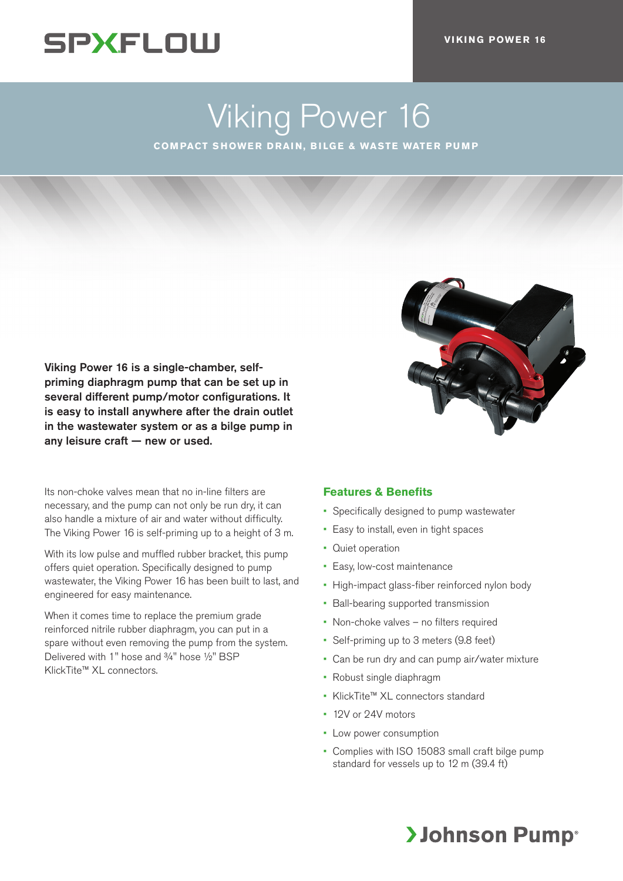## **SPXFLOW**

# Viking Power 16

**COMPACT SHOWER DRAIN, BILGE & WASTE WATER PUMP**

Viking Power 16 is a single-chamber, selfpriming diaphragm pump that can be set up in several different pump/motor configurations. It is easy to install anywhere after the drain outlet in the wastewater system or as a bilge pump in any leisure craft — new or used.

Its non-choke valves mean that no in-line filters are necessary, and the pump can not only be run dry, it can also handle a mixture of air and water without difficulty. The Viking Power 16 is self-priming up to a height of 3 m.

With its low pulse and muffled rubber bracket, this pump offers quiet operation. Specifically designed to pump wastewater, the Viking Power 16 has been built to last, and engineered for easy maintenance.

When it comes time to replace the premium grade reinforced nitrile rubber diaphragm, you can put in a spare without even removing the pump from the system. Delivered with 1" hose and 3/4" hose 1/2" BSP KlickTite™ XL connectors.



### **Features & Benefits**

- Specifically designed to pump wastewater
- Easy to install, even in tight spaces
- Quiet operation
- Easy, low-cost maintenance
- High-impact glass-fiber reinforced nylon body
- Ball-bearing supported transmission
- Non-choke valves no filters required
- Self-priming up to 3 meters (9.8 feet)
- Can be run dry and can pump air/water mixture
- Robust single diaphragm
- KlickTite™ XL connectors standard
- 12V or 24V motors
- Low power consumption
- Complies with ISO 15083 small craft bilge pump standard for vessels up to 12 m (39.4 ft)

## **>Johnson Pump**®